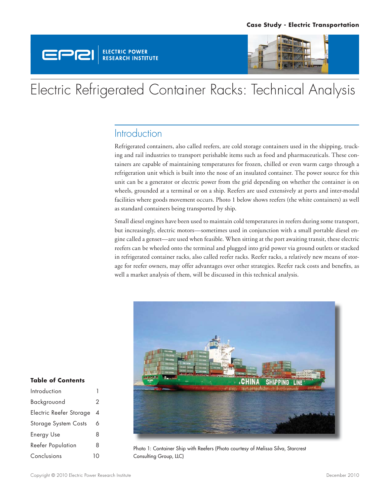



# Electric Refrigerated Container Racks: Technical Analysis

### **Introduction**

Refrigerated containers, also called reefers, are cold storage containers used in the shipping, trucking and rail industries to transport perishable items such as food and pharmaceuticals. These containers are capable of maintaining temperatures for frozen, chilled or even warm cargo through a refrigeration unit which is built into the nose of an insulated container. The power source for this unit can be a generator or electric power from the grid depending on whether the container is on wheels, grounded at a terminal or on a ship. Reefers are used extensively at ports and inter-modal facilities where goods movement occurs. Photo 1 below shows reefers (the white containers) as well as standard containers being transported by ship.

Small diesel engines have been used to maintain cold temperatures in reefers during some transport, but increasingly, electric motors—sometimes used in conjunction with a small portable diesel engine called a genset—are used when feasible. When sitting at the port awaiting transit, these electric reefers can be wheeled onto the terminal and plugged into grid power via ground outlets or stacked in refrigerated container racks, also called reefer racks. Reefer racks, a relatively new means of storage for reefer owners, may offer advantages over other strategies. Reefer rack costs and benefits, as well a market analysis of them, will be discussed in this technical analysis.



Photo 1: Container Ship with Reefers (Photo courtesy of Melissa Silva, Starcrest Consulting Group, LLC)

#### **Table of Contents**

| Introduction                |   |
|-----------------------------|---|
| Backgrouond                 | 2 |
| Electric Reefer Storage     | 4 |
| <b>Storage System Costs</b> | 6 |
| <b>Energy Use</b>           | 8 |
| <b>Reefer Population</b>    | 8 |
| Conclusions                 |   |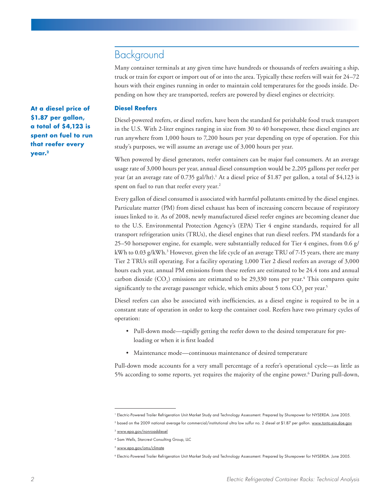### Background

Many container terminals at any given time have hundreds or thousands of reefers awaiting a ship, truck or train for export or import out of or into the area. Typically these reefers will wait for 24–72 hours with their engines running in order to maintain cold temperatures for the goods inside. Depending on how they are transported, reefers are powered by diesel engines or electricity.

#### **Diesel Reefers**

Diesel-powered reefers, or diesel reefers, have been the standard for perishable food truck transport in the U.S. With 2-liter engines ranging in size from 30 to 40 horsepower, these diesel engines are run anywhere from 1,000 hours to 7,200 hours per year depending on type of operation. For this study's purposes, we will assume an average use of 3,000 hours per year.

When powered by diesel generators, reefer containers can be major fuel consumers. At an average usage rate of 3,000 hours per year, annual diesel consumption would be 2,205 gallons per reefer per year (at an average rate of 0.735 gal/hr).<sup>1</sup> At a diesel price of \$1.87 per gallon, a total of \$4,123 is spent on fuel to run that reefer every year.<sup>2</sup>

Every gallon of diesel consumed is associated with harmful pollutants emitted by the diesel engines. Particulate matter (PM) from diesel exhaust has been of increasing concern because of respiratory issues linked to it. As of 2008, newly manufactured diesel reefer engines are becoming cleaner due to the U.S. Environmental Protection Agency's (EPA) Tier 4 engine standards, required for all transport refrigeration units (TRUs), the diesel engines that run diesel reefers. PM standards for a 25–50 horsepower engine, for example, were substantially reduced for Tier 4 engines, from 0.6  $g/$ kWh to 0.03 g/kWh.3 However, given the life cycle of an average TRU of 7-15 years, there are many Tier 2 TRUs still operating. For a facility operating 1,000 Tier 2 diesel reefers an average of 3,000 hours each year, annual PM emissions from these reefers are estimated to be 24.4 tons and annual carbon dioxide  $(CO_2)$  emissions are estimated to be 29,330 tons per year.<sup>4</sup> This compares quite significantly to the average passenger vehicle, which emits about 5 tons  $\mathrm{CO}_2$  per year. $^5$ 

Diesel reefers can also be associated with inefficiencies, as a diesel engine is required to be in a constant state of operation in order to keep the container cool. Reefers have two primary cycles of operation:

- Pull-down mode—rapidly getting the reefer down to the desired temperature for preloading or when it is first loaded
- Maintenance mode—continuous maintenance of desired temperature

Pull-down mode accounts for a very small percentage of a reefer's operational cycle—as little as 5% according to some reports, yet requires the majority of the engine power.<sup>6</sup> During pull-down,

**At a diesel price of \$1.87 per gallon, a total of \$4,123 is spent on fuel to run that reefer every year.2**

<sup>1</sup> Electric-Powered Trailer Refrigeration Unit Market Study and Technology Assessment. Prepared by Shurepower for NYSERDA. June 2005.

<sup>&</sup>lt;sup>2</sup> based on the 2009 national average for commercial/institutional ultra low sulfur no. 2 diesel at \$1.87 per gallon. www.tonto.eia.doe.gov

<sup>3</sup> www.epa.gov/nonroaddiesel

<sup>4</sup> Sam Wells, Starcrest Consulting Group, LLC

<sup>5</sup> www.epa.gov/oms/climate

<sup>6</sup> Electric-Powered Trailer Refrigeration Unit Market Study and Technology Assessment. Prepared by Shurepower for NYSERDA. June 2005.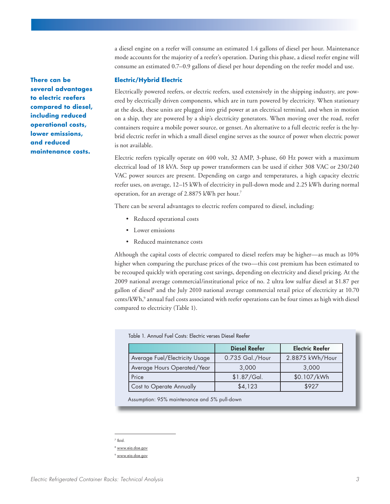a diesel engine on a reefer will consume an estimated 1.4 gallons of diesel per hour. Maintenance mode accounts for the majority of a reefer's operation. During this phase, a diesel reefer engine will consume an estimated 0.7–0.9 gallons of diesel per hour depending on the reefer model and use.

#### **Electric/Hybrid Electric**

Electrically powered reefers, or electric reefers, used extensively in the shipping industry, are powered by electrically driven components, which are in turn powered by electricity. When stationary at the dock, these units are plugged into grid power at an electrical terminal, and when in motion on a ship, they are powered by a ship's electricity generators. When moving over the road, reefer containers require a mobile power source, or genset. An alternative to a full electric reefer is the hybrid electric reefer in which a small diesel engine serves as the source of power when electric power is not available.

Electric reefers typically operate on 400 volt, 32 AMP, 3-phase, 60 Hz power with a maximum electrical load of 18 kVA. Step up power transformers can be used if either 308 VAC or 230/240 VAC power sources are present. Depending on cargo and temperatures, a high capacity electric reefer uses, on average, 12–15 kWh of electricity in pull-down mode and 2.25 kWh during normal operation, for an average of 2.8875 kWh per hour.7

There can be several advantages to electric reefers compared to diesel, including:

- Reduced operational costs
- Lower emissions
- Reduced maintenance costs

Although the capital costs of electric compared to diesel reefers may be higher—as much as 10% higher when comparing the purchase prices of the two—this cost premium has been estimated to be recouped quickly with operating cost savings, depending on electricity and diesel pricing. At the 2009 national average commercial/institutional price of no. 2 ultra low sulfur diesel at \$1.87 per gallon of diesel<sup>8</sup> and the July 2010 national average commercial retail price of electricity at 10.70 cents/kWh,<sup>9</sup> annual fuel costs associated with reefer operations can be four times as high with diesel compared to electricity (Table 1).

| Table 1. Annual Fuel Costs: Electric verses Diesel Reefer |                      |                        |  |  |
|-----------------------------------------------------------|----------------------|------------------------|--|--|
|                                                           | <b>Diesel Reefer</b> | <b>Electric Reefer</b> |  |  |
| Average Fuel/Electricity Usage                            | 0.735 Gal./Hour      | 2.8875 kWh/Hour        |  |  |
| Average Hours Operated/Year                               | 3,000                | 3,000                  |  |  |
| Price                                                     | \$1.87/Gal.          | \$0.107/kWh            |  |  |
| Cost to Operate Annually                                  | \$4,123              | \$927                  |  |  |

Assumption: 95% maintenance and 5% pull-down

**There can be several advantages to electric reefers compared to diesel, including reduced operational costs, lower emissions, and reduced maintenance costs.**

<sup>7</sup> Ibid.

<sup>8</sup> www.eia.doe.gov

www.eia.doe.gov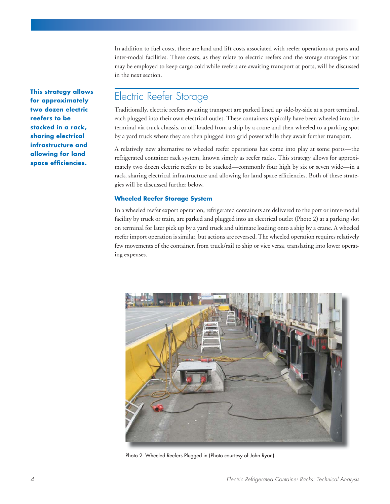In addition to fuel costs, there are land and lift costs associated with reefer operations at ports and inter-modal facilities. These costs, as they relate to electric reefers and the storage strategies that may be employed to keep cargo cold while reefers are awaiting transport at ports, will be discussed in the next section.

**This strategy allows for approximately two dozen electric reefers to be stacked in a rack, sharing electrical infrastructure and allowing for land**  space efficiencies.

## Electric Reefer Storage

Traditionally, electric reefers awaiting transport are parked lined up side-by-side at a port terminal, each plugged into their own electrical outlet. These containers typically have been wheeled into the terminal via truck chassis, or off-loaded from a ship by a crane and then wheeled to a parking spot by a yard truck where they are then plugged into grid power while they await further transport.

A relatively new alternative to wheeled reefer operations has come into play at some ports—the refrigerated container rack system, known simply as reefer racks. This strategy allows for approximately two dozen electric reefers to be stacked—commonly four high by six or seven wide—in a rack, sharing electrical infrastructure and allowing for land space efficiencies. Both of these strategies will be discussed further below.

### **Wheeled Reefer Storage System**

In a wheeled reefer export operation, refrigerated containers are delivered to the port or inter-modal facility by truck or train, are parked and plugged into an electrical outlet (Photo 2) at a parking slot on terminal for later pick up by a yard truck and ultimate loading onto a ship by a crane. A wheeled reefer import operation is similar, but actions are reversed. The wheeled operation requires relatively few movements of the container, from truck/rail to ship or vice versa, translating into lower operating expenses.



Photo 2: Wheeled Reefers Plugged in (Photo courtesy of John Ryan)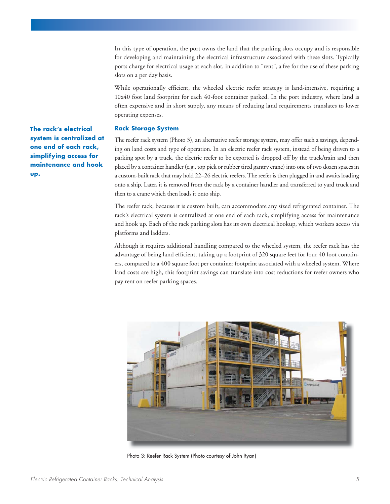In this type of operation, the port owns the land that the parking slots occupy and is responsible for developing and maintaining the electrical infrastructure associated with these slots. Typically ports charge for electrical usage at each slot, in addition to "rent", a fee for the use of these parking slots on a per day basis.

While operationally efficient, the wheeled electric reefer strategy is land-intensive, requiring a 10x40 foot land footprint for each 40-foot container parked. In the port industry, where land is often expensive and in short supply, any means of reducing land requirements translates to lower operating expenses.

#### **Rack Storage System**

The reefer rack system (Photo 3), an alternative reefer storage system, may offer such a savings, depending on land costs and type of operation. In an electric reefer rack system, instead of being driven to a parking spot by a truck, the electric reefer to be exported is dropped off by the truck/train and then placed by a container handler (e.g., top pick or rubber tired gantry crane) into one of two dozen spaces in a custom-built rack that may hold 22–26 electric reefers. The reefer is then plugged in and awaits loading onto a ship. Later, it is removed from the rack by a container handler and transferred to yard truck and then to a crane which then loads it onto ship.

The reefer rack, because it is custom built, can accommodate any sized refrigerated container. The rack's electrical system is centralized at one end of each rack, simplifying access for maintenance and hook up. Each of the rack parking slots has its own electrical hookup, which workers access via platforms and ladders.

Although it requires additional handling compared to the wheeled system, the reefer rack has the advantage of being land efficient, taking up a footprint of 320 square feet for four 40 foot containers, compared to a 400 square foot per container footprint associated with a wheeled system. Where land costs are high, this footprint savings can translate into cost reductions for reefer owners who pay rent on reefer parking spaces.



Photo 3: Reefer Rack System (Photo courtesy of John Ryan)

**The rack's electrical system is centralized at one end of each rack, simplifying access for maintenance and hook up.**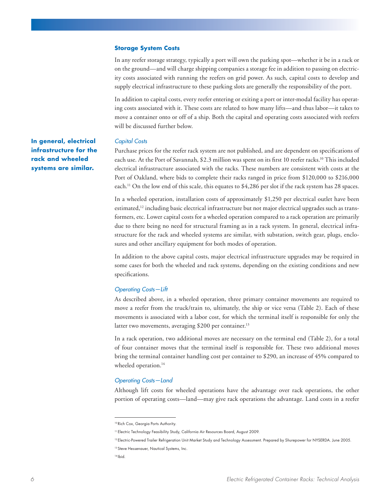#### **Storage System Costs**

In any reefer storage strategy, typically a port will own the parking spot—whether it be in a rack or on the ground—and will charge shipping companies a storage fee in addition to passing on electricity costs associated with running the reefers on grid power. As such, capital costs to develop and supply electrical infrastructure to these parking slots are generally the responsibility of the port.

In addition to capital costs, every reefer entering or exiting a port or inter-modal facility has operating costs associated with it. These costs are related to how many lifts—and thus labor—it takes to move a container onto or off of a ship. Both the capital and operating costs associated with reefers will be discussed further below.

#### *Capital Costs*

Purchase prices for the reefer rack system are not published, and are dependent on specifications of each use. At the Port of Savannah, \$2.3 million was spent on its first 10 reefer racks.<sup>10</sup> This included electrical infrastructure associated with the racks. These numbers are consistent with costs at the Port of Oakland, where bids to complete their racks ranged in price from \$120,000 to \$216,000 each.<sup>11</sup> On the low end of this scale, this equates to \$4,286 per slot if the rack system has 28 spaces.

In a wheeled operation, installation costs of approximately \$1,250 per electrical outlet have been estimated,12 including basic electrical infrastructure but not major electrical upgrades such as transformers, etc. Lower capital costs for a wheeled operation compared to a rack operation are primarily due to there being no need for structural framing as in a rack system. In general, electrical infrastructure for the rack and wheeled systems are similar, with substation, switch gear, plugs, enclosures and other ancillary equipment for both modes of operation.

In addition to the above capital costs, major electrical infrastructure upgrades may be required in some cases for both the wheeled and rack systems, depending on the existing conditions and new specifications.

#### *Operating Costs—Lift*

As described above, in a wheeled operation, three primary container movements are required to move a reefer from the truck/train to, ultimately, the ship or vice versa (Table 2). Each of these movements is associated with a labor cost, for which the terminal itself is responsible for only the latter two movements, averaging \$200 per container.<sup>13</sup>

In a rack operation, two additional moves are necessary on the terminal end (Table 2), for a total of four container moves that the terminal itself is responsible for. These two additional moves bring the terminal container handling cost per container to \$290, an increase of 45% compared to wheeled operation.<sup>14</sup>

#### *Operating Costs—Land*

Although lift costs for wheeled operations have the advantage over rack operations, the other portion of operating costs—land—may give rack operations the advantage. Land costs in a reefer

**In general, electrical infrastructure for the rack and wheeled systems are similar.**

<sup>10</sup> Rich Cox, Georgia Ports Authority.

<sup>11</sup> Electric Technology Feasibility Study, California Air Resources Board, August 2009.

<sup>12</sup> Electric-Powered Trailer Refrigeration Unit Market Study and Technology Assessment. Prepared by Shurepower for NYSERDA. June 2005.

<sup>13</sup> Steve Hessenauer, Nautical Systems, Inc.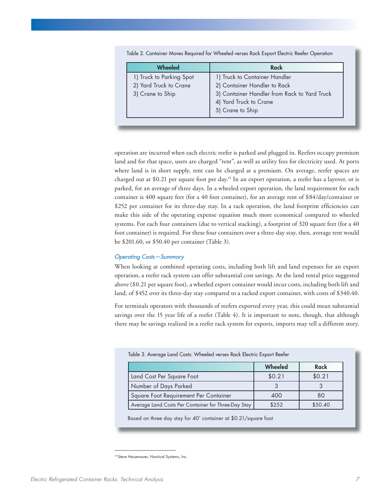| Wheeled                  | Rack                                         |  |
|--------------------------|----------------------------------------------|--|
| 1) Truck to Parking Spot | 1) Truck to Container Handler                |  |
| 2) Yard Truck to Crane   | 2) Container Handler to Rack                 |  |
| 3) Crane to Ship         | 3) Container Handler from Rack to Yard Truck |  |
|                          | 4) Yard Truck to Crane                       |  |
|                          | 5) Crane to Ship                             |  |

Table 2. Container Moves Required for Wheeled verses Rack Export Electric Reefer Operation

operation are incurred when each electric reefer is parked and plugged in. Reefers occupy premium land and for that space, users are charged "rent", as well as utility fees for electricity used. At ports where land is in short supply, rent can be charged at a premium. On average, reefer spaces are charged out at \$0.21 per square foot per day.<sup>15</sup> In an export operation, a reefer has a layover, or is parked, for an average of three days. In a wheeled export operation, the land requirement for each container is 400 square feet (for a 40 foot container), for an average rent of \$84/day/container or \$252 per container for its three-day stay. In a rack operation, the land footprint efficiencies can make this side of the operating expense equation much more economical compared to wheeled systems. For each four containers (due to vertical stacking), a footprint of 320 square feet (for a 40 foot container) is required. For these four containers over a three-day stay, then, average rent would be \$201.60, or \$50.40 per container (Table 3).

#### *Operating Costs—Summary*

When looking at combined operating costs, including both lift and land expenses for an export operation, a reefer rack system can offer substantial cost savings. At the land rental price suggested above (\$0.21 per square foot), a wheeled export container would incur costs, including both lift and land, of \$452 over its three-day stay compared to a racked export container, with costs of \$340.40.

For terminals operators with thousands of reefers exported every year, this could mean substantial savings over the 15 year life of a reefer (Table 4). It is important to note, though, that although there may be savings realized in a reefer rack system for exports, imports may tell a different story.

| Table 3. Average Land Costs: Wheeled verses Rack Electric Export Reefer |                |             |  |
|-------------------------------------------------------------------------|----------------|-------------|--|
|                                                                         | <b>Wheeled</b> | <b>Rack</b> |  |
| Land Cost Per Square Foot                                               | \$0.21         | \$0.21      |  |
| Number of Days Parked                                                   |                |             |  |
| Square Foot Requirement Per Container<br>400                            |                | 80          |  |
| Average Land Costs Per Container for Three-Day Stay                     | \$252          | \$50.40     |  |

Based on three day stay for 40' container at \$0.21/square foot

<sup>15</sup> Steve Hessenauer, Nautical Systems, Inc.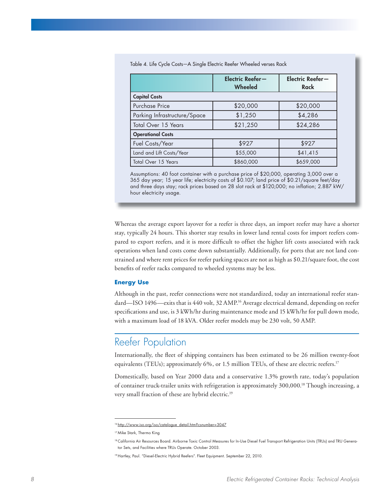| Table 4. Life Cycle Costs-A Single Electric Reefer Wheeled verses Rack |
|------------------------------------------------------------------------|
|------------------------------------------------------------------------|

|                              | Electric Reefer-<br>Wheeled | Electric Reefer-<br><b>Rack</b> |  |
|------------------------------|-----------------------------|---------------------------------|--|
| <b>Capital Costs</b>         |                             |                                 |  |
| Purchase Price               | \$20,000                    | \$20,000                        |  |
| Parking Infrastructure/Space | \$1,250                     | \$4,286                         |  |
| Total Over 15 Years          | \$21,250                    | \$24,286                        |  |
| <b>Operational Costs</b>     |                             |                                 |  |
| Fuel Costs/Year              | \$927                       | \$927                           |  |
| Land and Lift Costs/Year     | \$55,000                    | \$41,415                        |  |
| <b>Total Over 15 Years</b>   | \$860,000                   | \$659,000                       |  |

Assumptions: 40 foot container with a purchase price of \$20,000, operating 3,000 over a 365 day year; 15 year life; electricity costs of \$0.107; land price of \$0.21/square feet/day and three days stay; rack prices based on 28 slot rack at \$120,000; no inflation; 2.887 kW/ hour electricity usage.

Whereas the average export layover for a reefer is three days, an import reefer may have a shorter stay, typically 24 hours. This shorter stay results in lower land rental costs for import reefers compared to export reefers, and it is more difficult to offset the higher lift costs associated with rack operations when land costs come down substantially. Additionally, for ports that are not land constrained and where rent prices for reefer parking spaces are not as high as \$0.21/square foot, the cost benefits of reefer racks compared to wheeled systems may be less.

#### **Energy Use**

Although in the past, reefer connections were not standardized, today an international reefer standard—ISO 1496—exits that is 440 volt, 32 AMP.<sup>16</sup> Average electrical demand, depending on reefer specifications and use, is 3 kWh/hr during maintenance mode and 15 kWh/hr for pull down mode, with a maximum load of 18 kVA. Older reefer models may be 230 volt, 50 AMP.

## Reefer Population

Internationally, the fleet of shipping containers has been estimated to be 26 million twenty-foot equivalents (TEUs); approximately 6%, or 1.5 million TEUs, of these are electric reefers.<sup>17</sup>

Domestically, based on Year 2000 data and a conservative 1.3% growth rate, today's population of container truck-trailer units with refrigeration is approximately 300,000.18 Though increasing, a very small fraction of these are hybrid electric.19

<sup>16</sup> http://www.iso.org/iso/catalogue\_detail.htm?csnumber=3047

<sup>17</sup> Mike Stark, Thermo King

<sup>18</sup> California Air Resources Board. Airborne Toxic Control Measures for In-Use Diesel Fuel Transport Refrigeration Units (TRUs) and TRU Generator Sets, and Facilities where TRUs Operate. October 2003.

<sup>19</sup> Hartley, Paul. "Diesel-Electric Hybrid Reefers". Fleet Equipment. September 22, 2010.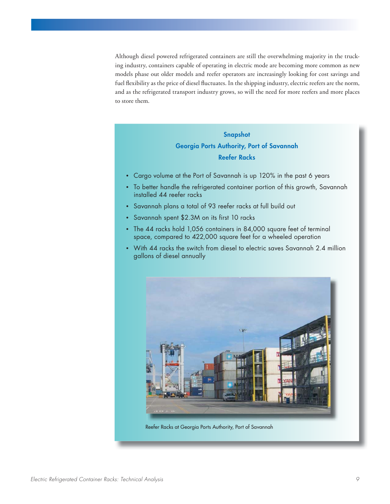Although diesel powered refrigerated containers are still the overwhelming majority in the trucking industry, containers capable of operating in electric mode are becoming more common as new models phase out older models and reefer operators are increasingly looking for cost savings and fuel flexibility as the price of diesel fluctuates. In the shipping industry, electric reefers are the norm, and as the refrigerated transport industry grows, so will the need for more reefers and more places to store them.

### **Snapshot Georgia Ports Authority, Port of Savannah Reefer Racks**

- Cargo volume at the Port of Savannah is up 120% in the past 6 years
- To better handle the refrigerated container portion of this growth, Savannah installed 44 reefer racks
- Savannah plans a total of 93 reefer racks at full build out
- Savannah spent \$2.3M on its first 10 racks
- The 44 racks hold 1,056 containers in 84,000 square feet of terminal space, compared to 422,000 square feet for a wheeled operation
- With 44 racks the switch from diesel to electric saves Savannah 2.4 million gallons of diesel annually



Reefer Racks at Georgia Ports Authority, Port of Savannah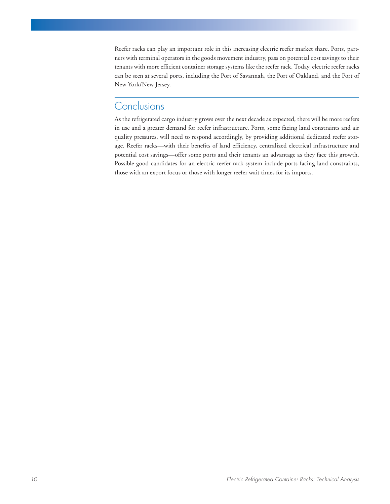Reefer racks can play an important role in this increasing electric reefer market share. Ports, partners with terminal operators in the goods movement industry, pass on potential cost savings to their tenants with more efficient container storage systems like the reefer rack. Today, electric reefer racks can be seen at several ports, including the Port of Savannah, the Port of Oakland, and the Port of New York/New Jersey.

### **Conclusions**

As the refrigerated cargo industry grows over the next decade as expected, there will be more reefers in use and a greater demand for reefer infrastructure. Ports, some facing land constraints and air quality pressures, will need to respond accordingly, by providing additional dedicated reefer storage. Reefer racks—with their benefits of land efficiency, centralized electrical infrastructure and potential cost savings—offer some ports and their tenants an advantage as they face this growth. Possible good candidates for an electric reefer rack system include ports facing land constraints, those with an export focus or those with longer reefer wait times for its imports.